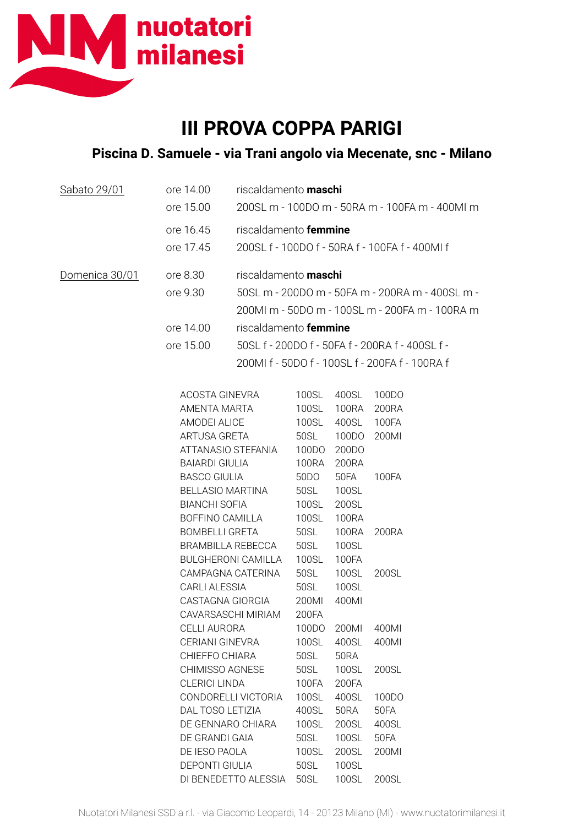

## **III PROVA COPPA PARIGI**

## **Piscina D. Samuele - via Trani angolo via Mecenate, snc - Milano**

| Sabato 29/01   | ore 14.00<br>ore 15.00                                                                                                                | riscaldamento <b>maschi</b>                                                                                                                                                                                | 200SL m - 100DO m - 50RA m - 100FA m - 400Ml m                                                    |                                                                                                |                                                    |
|----------------|---------------------------------------------------------------------------------------------------------------------------------------|------------------------------------------------------------------------------------------------------------------------------------------------------------------------------------------------------------|---------------------------------------------------------------------------------------------------|------------------------------------------------------------------------------------------------|----------------------------------------------------|
|                | ore 16.45<br>ore 17.45                                                                                                                | riscaldamento femmine<br>200SL f - 100DO f - 50RA f - 100FA f - 400MI f                                                                                                                                    |                                                                                                   |                                                                                                |                                                    |
| Domenica 30/01 | ore 8.30<br>ore 9.30                                                                                                                  | riscaldamento <b>maschi</b>                                                                                                                                                                                | 50SL m - 200DO m - 50FA m - 200RA m - 400SL m -<br>200ML m - 50DO m - 100SL m - 200FA m - 100RA m |                                                                                                |                                                    |
|                | ore 14.00<br>ore 15.00                                                                                                                | riscaldamento femmine<br>50SL f - 200DO f - 50FA f - 200RA f - 400SL f -<br>200MI f - 50DO f - 100SL f - 200FA f - 100RA f                                                                                 |                                                                                                   |                                                                                                |                                                    |
|                | <b>BOMBELLI GRETA</b>                                                                                                                 | ACOSTA GINEVRA<br>AMENTA MARTA<br>AMODEI ALICE<br>ARTUSA GRETA<br>ATTANASIO STEFANIA<br><b>BAIARDI GIULIA</b><br><b>BASCO GIULIA</b><br><b>BELLASIO MARTINA</b><br><b>BIANCHI SOFIA</b><br>BOFFINO CAMILLA |                                                                                                   | 400SL<br>100RA<br>400SL<br>100DO<br>200DO<br>200RA<br>50FA<br>100SL<br>200SL<br>100RA<br>100RA | 100DO<br>200RA<br>100FA<br>200MI<br>100FA<br>200RA |
|                | BRAMBILLA REBECCA<br><b>BULGHERONI CAMILLA</b><br>CAMPAGNA CATERINA<br><b>CARLI ALESSIA</b><br>CASTAGNA GIORGIA<br>CAVARSASCHI MIRIAM |                                                                                                                                                                                                            | 50SL<br>50SL<br>100SL<br>50SL<br>50SL<br>200MI<br>200FA<br>100DO                                  | 100SL<br><b>100FA</b><br>100SL<br>100SL<br>400MI                                               | 200SL                                              |
|                |                                                                                                                                       | <b>CELLI AURORA</b><br>CERIANI GINEVRA<br>CHIEFFO CHIARA<br>CHIMISSO AGNESE                                                                                                                                |                                                                                                   | 200MI<br>400SL<br>50RA<br>100SL                                                                | 400MI<br>400MI<br>200SL                            |
|                |                                                                                                                                       | <b>CLERICI LINDA</b><br>CONDORELLI VICTORIA<br>DAL TOSO LETIZIA<br>DE GENNARO CHIARA<br>DE GRANDI GAIA<br>DE IESO PAOLA<br><b>DEPONTI GIULIA</b>                                                           |                                                                                                   | 200FA<br>400SL<br><b>50RA</b><br>200SL<br>100SL<br>200SL<br>100SL                              | 100DO<br>50FA<br>400SL<br>50FA<br>200MI            |

DI BENEDETTO ALESSIA 50SL 100SL 200SL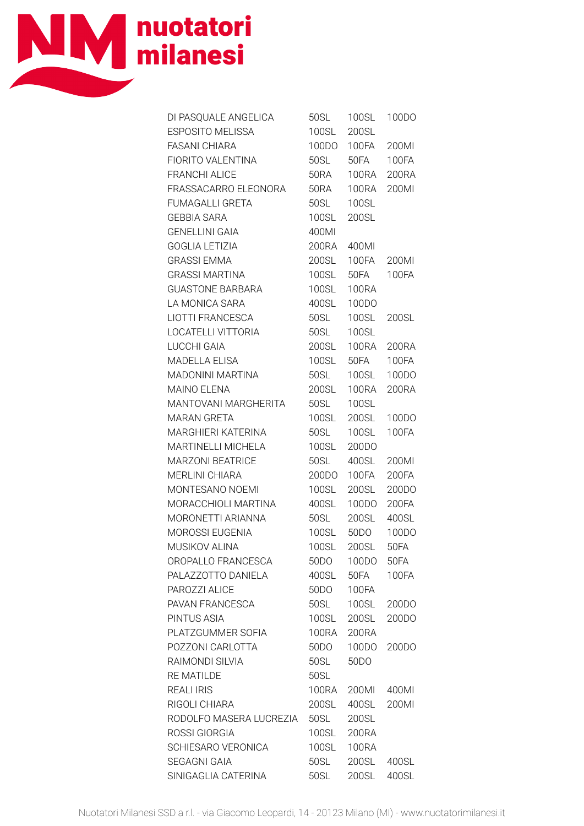

| DI PASQUALE ANGELICA    | 50SL         | 100SL             | 100DO        |
|-------------------------|--------------|-------------------|--------------|
| <b>ESPOSITO MELISSA</b> | 100SL        | 200SL             |              |
| <b>FASANI CHIARA</b>    | 100DO        | 100FA             | 200MI        |
| FIORITO VALENTINA       | 50SL         | 50FA              | <b>100FA</b> |
| <b>FRANCHI ALICE</b>    | <b>50RA</b>  | 100RA             | 200RA        |
| FRASSACARRO ELEONORA    | 50RA         | 100RA             | 200MI        |
| <b>FUMAGALLI GRETA</b>  | 50SL         | 100SL             |              |
| <b>GEBBIA SARA</b>      |              | 200SL             |              |
| <b>GENELLINI GAIA</b>   | 100SL        |                   |              |
|                         | 400MI        |                   |              |
| <b>GOGLIA LETIZIA</b>   | 200RA        | 400MI             |              |
| <b>GRASSI EMMA</b>      | <b>200SL</b> | 100FA             | 200MI        |
| <b>GRASSI MARTINA</b>   | <b>100SL</b> | 50FA              | 100FA        |
| <b>GUASTONE BARBARA</b> | 100SL        | <b>100RA</b>      |              |
| LA MONICA SARA          | 400SL        | 100DO             |              |
| LIOTTI FRANCESCA        | 50SL         | <b>100SL</b>      | 200SL        |
| LOCATELLI VITTORIA      | 50SL         | 100SL             |              |
| LUCCHI GAIA             | <b>200SL</b> | 100RA             | 200RA        |
| <b>MADELLA ELISA</b>    | <b>100SL</b> | 50FA              | 100FA        |
| MADONINI MARTINA        | <b>50SL</b>  | <b>100SL</b>      | 100DO        |
| <b>MAINO ELENA</b>      | 200SL        | 100RA             | 200RA        |
| MANTOVANI MARGHERITA    | 50SL         | 100SL             |              |
| <b>MARAN GRETA</b>      | 100SL        | <b>200SL</b>      | 100DO        |
| MARGHIERI KATERINA      | 50SL         | <b>100SL</b>      | <b>100FA</b> |
| MARTINELLI MICHELA      | <b>100SL</b> | 200DO             |              |
| <b>MARZONI BEATRICE</b> | 50SL         | 400SL             | 200MI        |
| <b>MERLINI CHIARA</b>   | 200DO        | 100FA             | 200FA        |
| MONTESANO NOEMI         | <b>100SL</b> | 200SL             | 200DO        |
| MORACCHIOLI MARTINA     | 400SL        | 100DO             | 200FA        |
| MORONETTI ARIANNA       | 50SL         | 200SL             | 400SL        |
| MOROSSI EUGENIA         | <b>100SL</b> | 50DO              | 100DO        |
| MUSIKOV ALINA           | 100SL        | 200SL             | 50FA         |
| OROPALLO FRANCESCA      | 50DO         | 100DO             | 50FA         |
| PALAZZOTTO DANIELA      | 400SL        | 50FA              | 100FA        |
| PAROZZI ALICE           | 50DO         | 100FA             |              |
| PAVAN FRANCESCA         | 50SL         | <b>100SL</b>      | 200DO        |
| PINTUS ASIA             | 100SL        | 200SL             | 200DO        |
| PLATZGUMMER SOFIA       | <b>100RA</b> | 200RA             |              |
| POZZONI CARLOTTA        | 50DO         | 100DO             | 200DO        |
| RAIMONDI SILVIA         | 50SL         | 50 <sub>D</sub> O |              |
| <b>RE MATILDE</b>       | 50SL         |                   |              |
| <b>REALI IRIS</b>       | 100RA        | 200MI             | 400MI        |
| RIGOLI CHIARA           | 200SL        | 400SL             | 200MI        |
| RODOLFO MASERA LUCREZIA | 50SL         | 200SL             |              |
| ROSSI GIORGIA           | 100SL        | 200RA             |              |
| SCHIESARO VERONICA      | 100SL        | <b>100RA</b>      |              |
| <b>SEGAGNI GAIA</b>     | 50SL         | <b>200SL</b>      | 400SL        |
| SINIGAGLIA CATERINA     | 50SL         | 200SL             | 400SL        |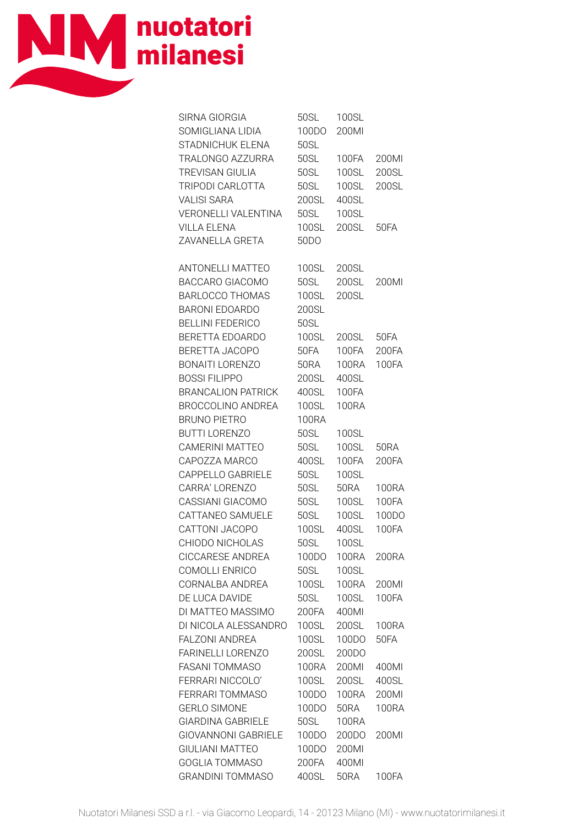

| SIRNA GIORGIA              | 50SL              | 100SL        |              |
|----------------------------|-------------------|--------------|--------------|
| SOMIGLIANA LIDIA           | 100DO             | 200MI        |              |
| STADNICHUK ELENA           | 50SL              |              |              |
| TRALONGO AZZURRA           | <b>50SL</b>       | 100FA        | 200MI        |
| TREVISAN GIULIA            | 50SL              | 100SL        | 200SL        |
| TRIPODI CARLOTTA           | 50SL              | <b>100SL</b> | 200SL        |
| <b>VALISI SARA</b>         | 200SL             | 400SL        |              |
| VERONELLI VALENTINA        | 50SL              | 100SL        |              |
| <b>VILLA ELENA</b>         | <b>100SL</b>      | 200SL        | 50FA         |
| ZAVANELLA GRETA            | 50 <sub>D</sub> O |              |              |
| ANTONELLI MATTEO           | 100SL             | 200SL        |              |
| BACCARO GIACOMO            | 50SL              | <b>200SL</b> | 200MI        |
| <b>BARLOCCO THOMAS</b>     | 100SL             | 200SL        |              |
| <b>BARONI EDOARDO</b>      | 200SL             |              |              |
| <b>BELLINI FEDERICO</b>    | 50SL              |              |              |
| BERETTA EDOARDO            | <b>100SL</b>      | 200SL        | <b>50FA</b>  |
| BERETTA JACOPO             | 50FA              | 100FA        | 200FA        |
| BONAITI LORENZO            | 50RA              | 100RA        | <b>100FA</b> |
| <b>BOSSI FILIPPO</b>       | 200SL             | 400SL        |              |
| <b>BRANCALION PATRICK</b>  | 400SL             | 100FA        |              |
| <b>BROCCOLINO ANDREA</b>   | 100SL             | <b>100RA</b> |              |
| <b>BRUNO PIETRO</b>        | <b>100RA</b>      |              |              |
| <b>BUTTI LORENZO</b>       | 50SL              | 100SL        |              |
| CAMERINI MATTEO            | 50SL              | <b>100SL</b> | 50RA         |
| CAPOZZA MARCO              | 400SL             | 100FA        | 200FA        |
| CAPPELLO GABRIELE          | 50SL              | 100SL        |              |
| CARRA' LORENZO             | 50SL              | 50RA         | 100RA        |
| CASSIANI GIACOMO           | 50SL              | 100SL        | 100FA        |
| CATTANEO SAMUELE           | 50SL              | <b>100SL</b> | 100DO        |
| CATTONI JACOPO             | <b>100SL</b>      | 400SL        | 100FA        |
| CHIODO NICHOLAS            | <b>50SL</b>       | <b>100SL</b> |              |
| <b>CICCARESE ANDREA</b>    | 100DO             | <b>100RA</b> | 200RA        |
| COMOLLI ENRICO             | 50SL              | 100SL        |              |
| CORNALBA ANDREA            | 100SL             | <b>100RA</b> | 200MI        |
| DE LUCA DAVIDE             | 50SL              | 100SL        | <b>100FA</b> |
| DI MATTEO MASSIMO          | 200FA             | 400MI        |              |
| DI NICOLA ALESSANDRO       | 100SL             | 200SL        | <b>100RA</b> |
| <b>FALZONI ANDREA</b>      | 100SL             | 100DO        | <b>50FA</b>  |
| <b>FARINELLI LORENZO</b>   | 200SL             | 200DO        |              |
| <b>FASANI TOMMASO</b>      | <b>100RA</b>      | 200MI        | 400MI        |
| FERRARI NICCOLO'           | 100SL             | 200SL        | 400SL        |
| FERRARI TOMMASO            | 100DO             | <b>100RA</b> | 200MI        |
| <b>GERLO SIMONE</b>        | 100DO             | <b>50RA</b>  | <b>100RA</b> |
| <b>GIARDINA GABRIELE</b>   | 50SL              | <b>100RA</b> |              |
| <b>GIOVANNONI GABRIELE</b> | 100DO             | 200DO        | 200MI        |
| <b>GIULIANI MATTEO</b>     | 100DO             | 200MI        |              |
| <b>GOGLIA TOMMASO</b>      | 200FA             | 400MI        |              |
| <b>GRANDINI TOMMASO</b>    | 400SL             | <b>50RA</b>  | 100FA        |
|                            |                   |              |              |